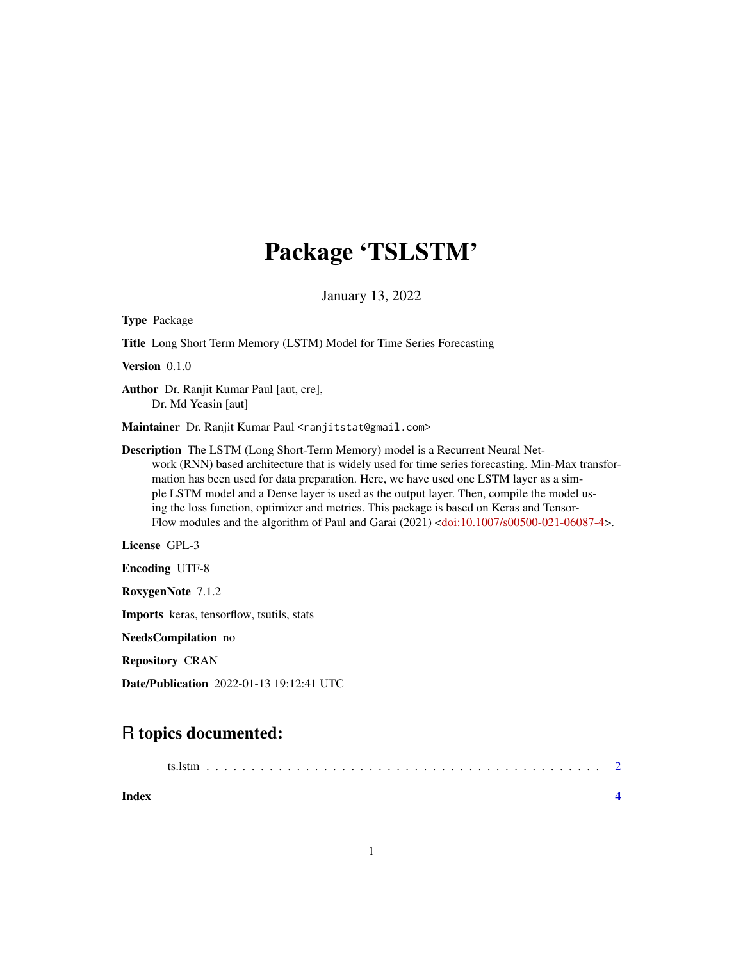## Package 'TSLSTM'

January 13, 2022

| <b>Type Package</b>                                                                                                                                                                                                                                                                                                                                                                                                                                                                                                                                                           |  |  |  |
|-------------------------------------------------------------------------------------------------------------------------------------------------------------------------------------------------------------------------------------------------------------------------------------------------------------------------------------------------------------------------------------------------------------------------------------------------------------------------------------------------------------------------------------------------------------------------------|--|--|--|
| Title Long Short Term Memory (LSTM) Model for Time Series Forecasting                                                                                                                                                                                                                                                                                                                                                                                                                                                                                                         |  |  |  |
| Version $0.1.0$                                                                                                                                                                                                                                                                                                                                                                                                                                                                                                                                                               |  |  |  |
| Author Dr. Ranjit Kumar Paul [aut, cre],<br>Dr. Md Yeasin [aut]                                                                                                                                                                                                                                                                                                                                                                                                                                                                                                               |  |  |  |
| Maintainer Dr. Ranjit Kumar Paul <ranjitstat@gmail.com></ranjitstat@gmail.com>                                                                                                                                                                                                                                                                                                                                                                                                                                                                                                |  |  |  |
| Description The LSTM (Long Short-Term Memory) model is a Recurrent Neural Net-<br>work (RNN) based architecture that is widely used for time series forecasting. Min-Max transfor-<br>mation has been used for data preparation. Here, we have used one LSTM layer as a sim-<br>ple LSTM model and a Dense layer is used as the output layer. Then, compile the model us-<br>ing the loss function, optimizer and metrics. This package is based on Keras and Tensor-<br>Flow modules and the algorithm of Paul and Garai $(2021)$ < doi: $10.1007$ /s $00500-021-06087-4$ >. |  |  |  |
| License GPL-3                                                                                                                                                                                                                                                                                                                                                                                                                                                                                                                                                                 |  |  |  |
| <b>Encoding UTF-8</b>                                                                                                                                                                                                                                                                                                                                                                                                                                                                                                                                                         |  |  |  |
| RoxygenNote 7.1.2                                                                                                                                                                                                                                                                                                                                                                                                                                                                                                                                                             |  |  |  |
| <b>Imports</b> keras, tensorflow, tsutils, stats                                                                                                                                                                                                                                                                                                                                                                                                                                                                                                                              |  |  |  |
| <b>NeedsCompilation</b> no                                                                                                                                                                                                                                                                                                                                                                                                                                                                                                                                                    |  |  |  |
| <b>Repository CRAN</b>                                                                                                                                                                                                                                                                                                                                                                                                                                                                                                                                                        |  |  |  |
| <b>Date/Publication</b> 2022-01-13 19:12:41 UTC                                                                                                                                                                                                                                                                                                                                                                                                                                                                                                                               |  |  |  |

### R topics documented:

| Index |  |
|-------|--|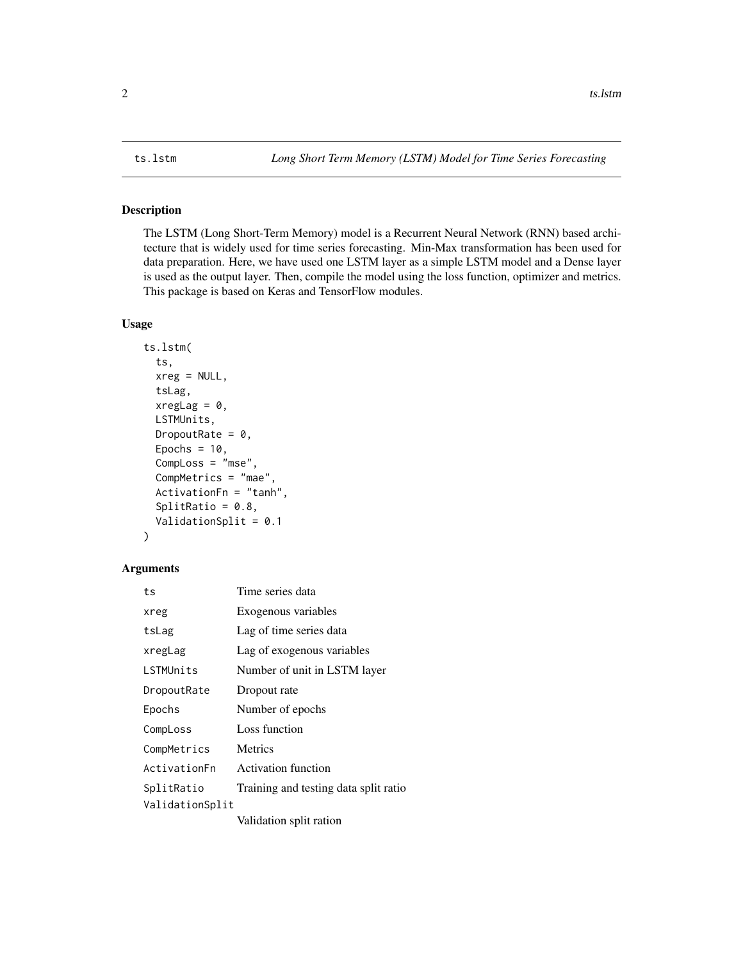#### <span id="page-1-0"></span>Description

The LSTM (Long Short-Term Memory) model is a Recurrent Neural Network (RNN) based architecture that is widely used for time series forecasting. Min-Max transformation has been used for data preparation. Here, we have used one LSTM layer as a simple LSTM model and a Dense layer is used as the output layer. Then, compile the model using the loss function, optimizer and metrics. This package is based on Keras and TensorFlow modules.

#### Usage

```
ts.lstm(
  ts,
  xreg = NULL,tsLag,
  xregLag = 0,
 LSTMUnits,
  DropoutRate = 0,
 Epochs = 10,
  CompLoss = "mse",
  CompMetrics = "mae",
  ActivationFn = "tanh",
  SplitRatio = 0.8,
  ValidationSplit = 0.1
)
```
#### Arguments

| ts              | Time series data                      |
|-----------------|---------------------------------------|
| xreg            | Exogenous variables                   |
| tsLag           | Lag of time series data               |
| xregLag         | Lag of exogenous variables            |
| LSTMUnits       | Number of unit in LSTM layer          |
| DropoutRate     | Dropout rate                          |
| Epochs          | Number of epochs                      |
| CompLoss        | Loss function                         |
| CompMetrics     | Metrics                               |
| ActivationFn    | <b>Activation function</b>            |
| SplitRatio      | Training and testing data split ratio |
| ValidationSplit |                                       |
|                 | Validation split ration               |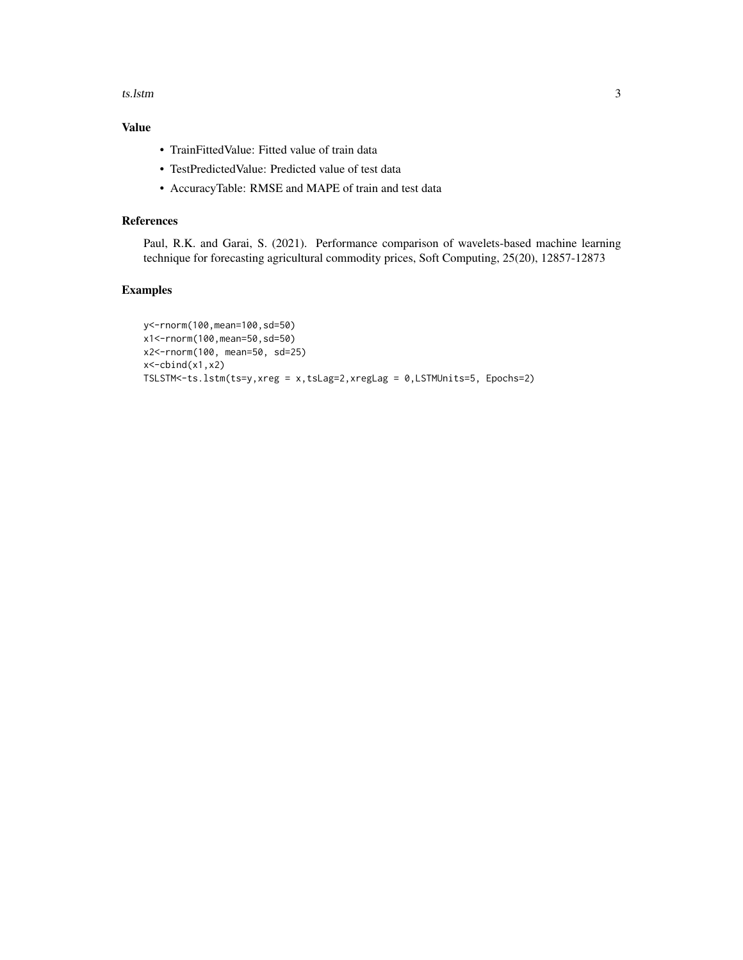#### ts.lstm  $\sim$  3

### Value

- TrainFittedValue: Fitted value of train data
- TestPredictedValue: Predicted value of test data
- AccuracyTable: RMSE and MAPE of train and test data

#### References

Paul, R.K. and Garai, S. (2021). Performance comparison of wavelets-based machine learning technique for forecasting agricultural commodity prices, Soft Computing, 25(20), 12857-12873

#### Examples

```
y<-rnorm(100,mean=100,sd=50)
x1<-rnorm(100,mean=50,sd=50)
x2<-rnorm(100, mean=50, sd=25)
x < -cbind(x1, x2)TSLSTM<-ts.lstm(ts=y,xreg = x,tsLag=2,xregLag = 0,LSTMUnits=5, Epochs=2)
```